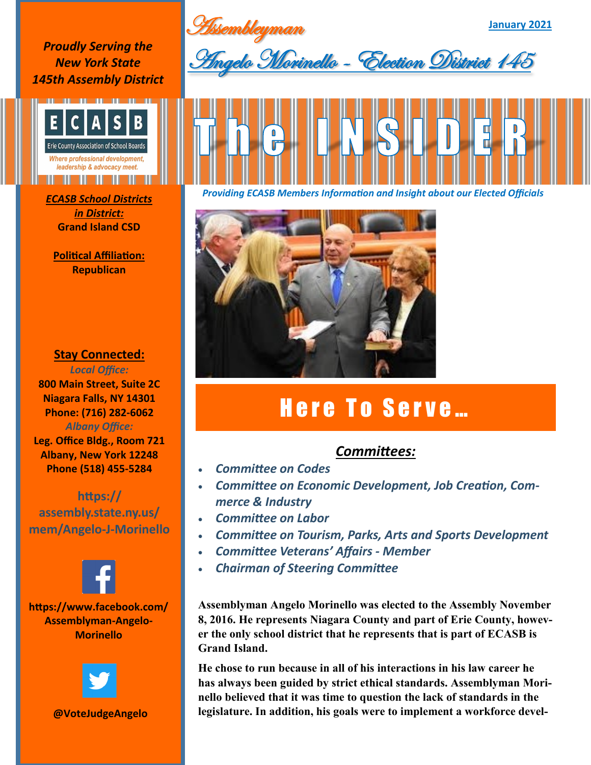**Assembleyman** 

**January 2021**

*Proudly Serving the New York State 145th Assembly District*



*in District:* **Grand Island CSD**

**Political Affiliation: Republican**

## **Stay Connected:**

*Local Office:* **800 Main Street, Suite 2C Niagara Falls, NY 14301 Phone: (716) 282-6062** *Albany Office:*  **Leg. Office Bldg., Room 721 Albany, New York 12248 Phone (518) 455-5284**

**https:// assembly.state.ny.us/ mem/Angelo-J-Morinello**



**https://www.facebook.com/ Assemblyman-Angelo-Morinello**



**@VoteJudgeAngelo**





*Providing ECASB Members Information and Insight about our Elected Officials ECASB School Districts* 



## Here To Serve...

## *Committees:*

- *Committee on Codes*
- *Committee on Economic Development, Job Creation, Commerce & Industry*
- *Committee on Labor*
- *Committee on Tourism, Parks, Arts and Sports Development*
- *Committee Veterans' Affairs - Member*
- *Chairman of Steering Committee*

**Assemblyman Angelo Morinello was elected to the Assembly November 8, 2016. He represents Niagara County and part of Erie County, however the only school district that he represents that is part of ECASB is Grand Island.** 

**He chose to run because in all of his interactions in his law career he has always been guided by strict ethical standards. Assemblyman Morinello believed that it was time to question the lack of standards in the legislature. In addition, his goals were to implement a workforce devel-**